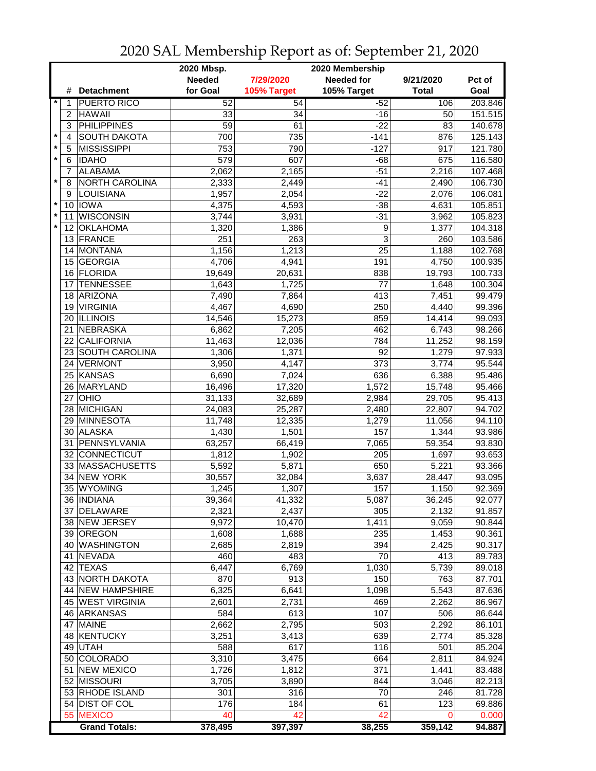|         |                |                       | 2020 Mbsp.<br>2020 Membership |             |                        |              |                  |  |
|---------|----------------|-----------------------|-------------------------------|-------------|------------------------|--------------|------------------|--|
|         |                |                       | <b>Needed</b>                 | 7/29/2020   | <b>Needed for</b>      | 9/21/2020    | Pct of           |  |
|         | #              | <b>Detachment</b>     | for Goal                      | 105% Target | 105% Target            | <b>Total</b> | Goal             |  |
|         | 1              | <b>PUERTO RICO</b>    | 52                            | 54          | $-52$                  | 106          | 203.846          |  |
|         | $\overline{c}$ | <b>HAWAII</b>         | 33                            | 34          | $-16$                  | 50           | 151.515          |  |
|         | 3              | <b>PHILIPPINES</b>    | 59                            | 61          | $-22$                  | 83           | 140.678          |  |
| $\star$ | $\overline{4}$ | <b>SOUTH DAKOTA</b>   | 700                           | 735         | $-141$                 | 876          | 125.143          |  |
| $\star$ | 5              | <b>MISSISSIPPI</b>    | 753                           | 790         | $-127$                 | 917          | 121.780          |  |
| $\star$ | $\,6$          | <b>IDAHO</b>          | 579                           | 607         | $-68$                  | 675          | 116.580          |  |
|         | $\overline{7}$ | <b>ALABAMA</b>        | 2,062                         | 2,165       | $-51$                  | 2,216        | 107.468          |  |
| $\star$ | 8              | <b>NORTH CAROLINA</b> | 2,333                         | 2,449       | $-41$                  | 2,490        | 106.730          |  |
|         | 9              | LOUISIANA             | 1,957                         | 2,054       | $-22$                  | 2,076        | 106.081          |  |
| $\star$ |                | 10 IOWA               | 4,375                         | 4,593       | $-38$                  | 4,631        | 105.851          |  |
| $\star$ | 11             | <b>WISCONSIN</b>      | 3,744                         | 3,931       | $-31$                  | 3,962        | 105.823          |  |
| $\star$ | 12             | <b>OKLAHOMA</b>       | 1,320                         | 1,386       | 9                      | 1,377        | 104.318          |  |
|         |                | 13 FRANCE             | 251                           | 263         | 3                      | 260          | 103.586          |  |
|         | 14             | MONTANA               | 1,156                         | 1,213       | 25                     | 1,188        | 102.768          |  |
|         | 15             | <b>GEORGIA</b>        | 4,706                         | 4,941       | 191                    | 4,750        | 100.935          |  |
|         |                | 16 FLORIDA            | 19,649                        | 20,631      | 838                    | 19,793       | 100.733          |  |
|         | 17             | <b>TENNESSEE</b>      | 1,643                         | 1,725       | 77                     | 1,648        | 100.304          |  |
|         | 18             | ARIZONA               | 7,490                         | 7,864       | 413                    | 7,451        | 99.479           |  |
|         | 19             | <b>VIRGINIA</b>       | 4,467                         | 4,690       | 250                    | 4,440        | 99.396           |  |
|         |                | <b>ILLINOIS</b>       |                               |             | 859                    |              |                  |  |
|         | 20<br>21       | NEBRASKA              | 14,546                        | 15,273      | 462                    | 14,414       | 99.093<br>98.266 |  |
|         | 22             | CALIFORNIA            | 6,862                         | 7,205       |                        | 6,743        |                  |  |
|         |                | 23 SOUTH CAROLINA     | 11,463                        | 12,036      | 784<br>$\overline{92}$ | 11,252       | 98.159           |  |
|         |                | 24 VERMONT            | 1,306                         | 1,371       | $\overline{373}$       | 1,279        | 97.933           |  |
|         |                |                       | 3,950                         | 4,147       |                        | 3,774        | 95.544           |  |
|         |                | 25 KANSAS             | 6,690                         | 7,024       | 636                    | 6,388        | 95.486           |  |
|         |                | 26 MARYLAND           | 16,496                        | 17,320      | 1,572                  | 15,748       | 95.466           |  |
|         |                | $27$ OHIO             | 31,133                        | 32,689      | 2,984                  | 29,705       | 95.413           |  |
|         |                | 28 MICHIGAN           | 24,083                        | 25,287      | 2,480                  | 22,807       | 94.702           |  |
|         |                | 29 MINNESOTA          | 11,748                        | 12,335      | 1,279                  | 11,056       | 94.110           |  |
|         | 30             | <b>ALASKA</b>         | 1,430                         | 1,501       | 157                    | 1,344        | 93.986           |  |
|         | 31             | PENNSYLVANIA          | 63,257                        | 66,419      | 7,065                  | 59,354       | 93.830           |  |
|         |                | 32 CONNECTICUT        | 1,812                         | 1,902       | 205                    | 1,697        | 93.653           |  |
|         |                | 33 MASSACHUSETTS      | 5,592                         | 5,871       | 650                    | 5,221        | 93.366           |  |
|         | 34             | <b>NEW YORK</b>       | 30,557                        | 32,084      | 3,637                  | 28,447       | 93.095           |  |
|         | 35             | <b>WYOMING</b>        | 1,245                         | 1,307       | 157                    | 1,150        | 92.369           |  |
|         |                | 36  INDIANA           | 39,364                        | 41,332      | 5,087                  | 36,245       | 92.077           |  |
|         |                | 37 DELAWARE           | 2,321                         | 2,437       | 305                    | 2,132        | 91.857           |  |
|         |                | 38 NEW JERSEY         | 9,972                         | 10,470      | 1,411                  | 9,059        | 90.844           |  |
|         |                | 39 OREGON             | 1,608                         | 1,688       | 235                    | 1,453        | 90.361           |  |
|         |                | 40 WASHINGTON         | 2,685                         | 2,819       | 394                    | 2,425        | 90.317           |  |
|         |                | 41 NEVADA             | 460                           | 483         | 70                     | 413          | 89.783           |  |
|         |                | 42 TEXAS              | 6,447                         | 6,769       | 1,030                  | 5,739        | 89.018           |  |
|         |                | 43 NORTH DAKOTA       | 870                           | 913         | 150                    | 763          | 87.701           |  |
|         |                | 44 NEW HAMPSHIRE      | 6,325                         | 6,641       | 1,098                  | 5,543        | 87.636           |  |
|         |                | 45 WEST VIRGINIA      | 2,601                         | 2,731       | 469                    | 2,262        | 86.967           |  |
|         |                | 46 ARKANSAS           | 584                           | 613         | 107                    | 506          | 86.644           |  |
|         | 47             | <b>MAINE</b>          | 2,662                         | 2,795       | 503                    | 2,292        | 86.101           |  |
|         |                | 48 KENTUCKY           | 3,251                         | 3,413       | 639                    | 2,774        | 85.328           |  |
|         |                | 49 UTAH               | 588                           | 617         | 116                    | 501          | 85.204           |  |
|         |                | 50 COLORADO           | 3,310                         | 3,475       | 664                    | 2,811        | 84.924           |  |
|         |                | 51 NEW MEXICO         | 1,726                         | 1,812       | 371                    | 1,441        | 83.488           |  |
|         |                | 52 MISSOURI           | 3,705                         | 3,890       | 844                    | 3,046        | 82.213           |  |
|         |                | 53 RHODE ISLAND       | 301                           | 316         | 70                     | 246          | 81.728           |  |
|         |                | 54 DIST OF COL        | 176                           | 184         | 61                     | 123          | 69.886           |  |
|         |                | 55 MEXICO             | 40                            | 42          | 42                     | 0            | 0.000            |  |
|         |                | <b>Grand Totals:</b>  | 378,495                       | 397,397     | 38,255                 | 359,142      | 94.887           |  |

2020 SAL Membership Report as of: September 21, 2020